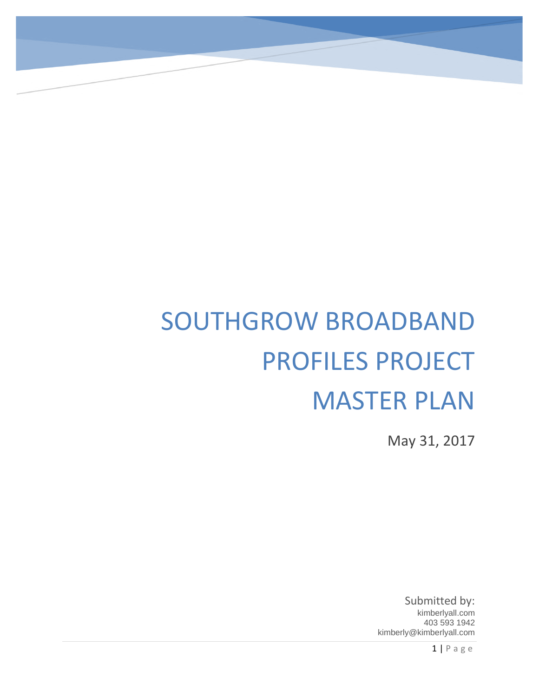# SOUTHGROW BROADBAND PROFILES PROJECT MASTER PLAN

May 31, 2017

Submitted by: kimberlyall.com 403 593 1942 kimberly@kimberlyall.com

1 | P a g e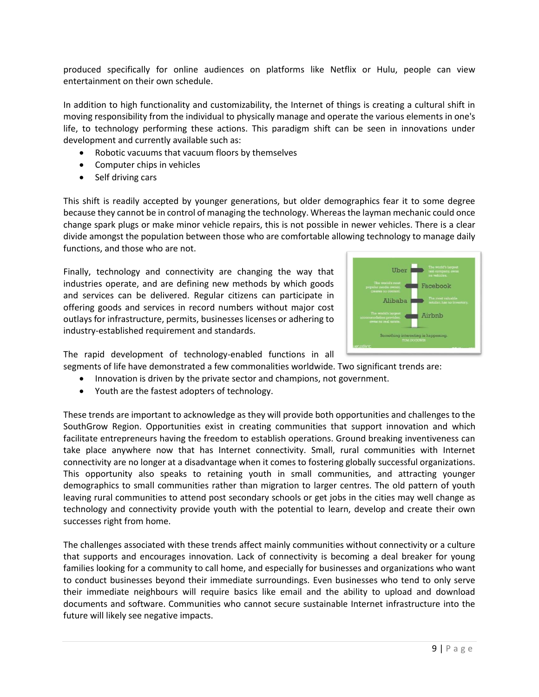produced specifically for online audiences on platforms like Netflix or Hulu, people can view entertainment on their own schedule.

In addition to high functionality and customizability, the Internet of things is creating a cultural shift in moving responsibility from the individual to physically manage and operate the various elements in one's life, to technology performing these actions. This paradigm shift can be seen in innovations under development and currently available such as:

- Robotic vacuums that vacuum floors by themselves
- Computer chips in vehicles
- Self driving cars

This shift is readily accepted by younger generations, but older demographics fear it to some degree because they cannot be in control of managing the technology. Whereas the layman mechanic could once change spark plugs or make minor vehicle repairs, this is not possible in newer vehicles. There is a clear divide amongst the population between those who are comfortable allowing technology to manage daily functions, and those who are not.

Finally, technology and connectivity are changing the way that industries operate, and are defining new methods by which goods and services can be delivered. Regular citizens can participate in offering goods and services in record numbers without major cost outlays for infrastructure, permits, businesses licenses or adhering to industry-established requirement and standards.



The rapid development of technology-enabled functions in all segments of life have demonstrated a few commonalities worldwide. Two significant trends are:

- Innovation is driven by the private sector and champions, not government.
- Youth are the fastest adopters of technology.

These trends are important to acknowledge as they will provide both opportunities and challenges to the SouthGrow Region. Opportunities exist in creating communities that support innovation and which facilitate entrepreneurs having the freedom to establish operations. Ground breaking inventiveness can take place anywhere now that has Internet connectivity. Small, rural communities with Internet connectivity are no longer at a disadvantage when it comes to fostering globally successful organizations. This opportunity also speaks to retaining youth in small communities, and attracting younger demographics to small communities rather than migration to larger centres. The old pattern of youth leaving rural communities to attend post secondary schools or get jobs in the cities may well change as technology and connectivity provide youth with the potential to learn, develop and create their own successes right from home.

The challenges associated with these trends affect mainly communities without connectivity or a culture that supports and encourages innovation. Lack of connectivity is becoming a deal breaker for young families looking for a community to call home, and especially for businesses and organizations who want to conduct businesses beyond their immediate surroundings. Even businesses who tend to only serve their immediate neighbours will require basics like email and the ability to upload and download documents and software. Communities who cannot secure sustainable Internet infrastructure into the future will likely see negative impacts.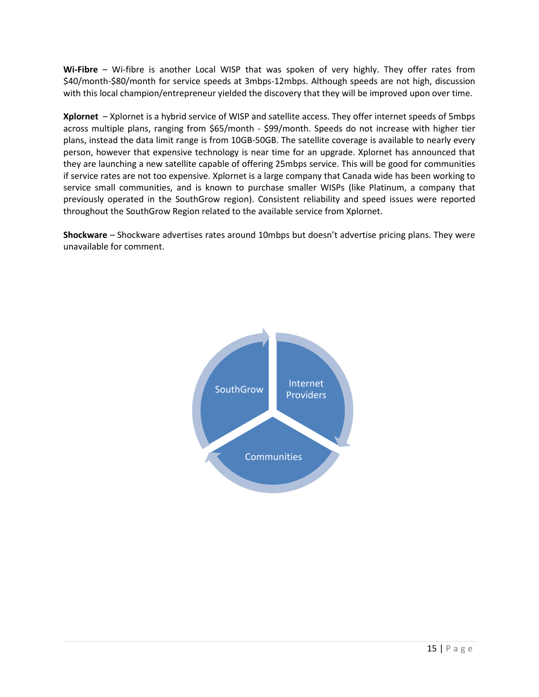**Wi-Fibre** – Wi-fibre is another Local WISP that was spoken of very highly. They offer rates from \$40/month-\$80/month for service speeds at 3mbps-12mbps. Although speeds are not high, discussion with this local champion/entrepreneur yielded the discovery that they will be improved upon over time.

**Xplornet** – Xplornet is a hybrid service of WISP and satellite access. They offer internet speeds of 5mbps across multiple plans, ranging from \$65/month - \$99/month. Speeds do not increase with higher tier plans, instead the data limit range is from 10GB-50GB. The satellite coverage is available to nearly every person, however that expensive technology is near time for an upgrade. Xplornet has announced that they are launching a new satellite capable of offering 25mbps service. This will be good for communities if service rates are not too expensive. Xplornet is a large company that Canada wide has been working to service small communities, and is known to purchase smaller WISPs (like Platinum, a company that previously operated in the SouthGrow region). Consistent reliability and speed issues were reported throughout the SouthGrow Region related to the available service from Xplornet.

**Shockware** – Shockware advertises rates around 10mbps but doesn't advertise pricing plans. They were unavailable for comment.

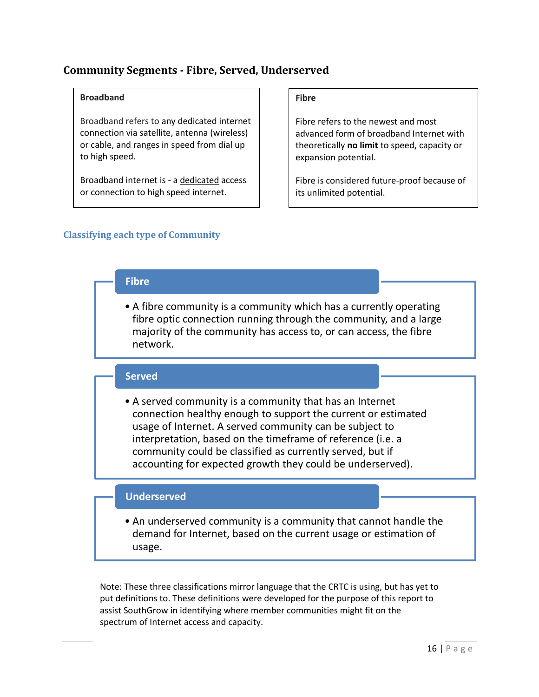## **Community Segments - Fibre, Served, Underserved**

#### **Broadband**

Broadband refers to any dedicated internet connection via satellite, antenna (wireless) or cable, and ranges in speed from dial up to high speed.

Broadband internet is - a dedicated access or connection to high speed internet.

#### **Fibre**

Fibre refers to the newest and most advanced form of broadband Internet with theoretically **no limit** to speed, capacity or expansion potential.

Fibre is considered future-proof because of its unlimited potential.

#### **Classifying each type of Community**

# **Fibre**

• A fibre community is a community which has a currently operating fibre optic connection running through the community, and a large majority of the community has access to, or can access, the fibre network.

#### **Served**

• A served community is a community that has an Internet connection healthy enough to support the current or estimated usage of Internet. A served community can be subject to interpretation, based on the timeframe of reference (i.e. a community could be classified as currently served, but if accounting for expected growth they could be underserved).

#### **Underserved**

• An underserved community is a community that cannot handle the demand for Internet, based on the current usage or estimation of usage.

Note: These three classifications mirror language that the CRTC is using, but has yet to put definitions to. These definitions were developed for the purpose of this report to assist SouthGrow in identifying where member communities might fit on the spectrum of Internet access and capacity.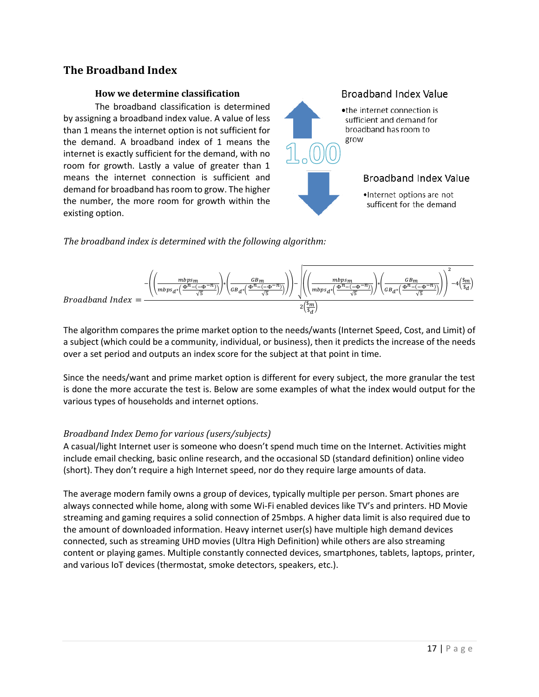## **The Broadband Index**

#### **How we determine classification**

The broadband classification is determined by assigning a broadband index value. A value of less than 1 means the internet option is not sufficient for the demand. A broadband index of 1 means the internet is exactly sufficient for the demand, with no room for growth. Lastly a value of greater than 1 means the internet connection is sufficient and demand for broadband has room to grow. The higher the number, the more room for growth within the existing option.



*The broadband index is determined with the following algorithm:*



The algorithm compares the prime market option to the needs/wants (Internet Speed, Cost, and Limit) of a subject (which could be a community, individual, or business), then it predicts the increase of the needs over a set period and outputs an index score for the subject at that point in time.

Since the needs/want and prime market option is different for every subject, the more granular the test is done the more accurate the test is. Below are some examples of what the index would output for the various types of households and internet options.

#### *Broadband Index Demo for various (users/subjects)*

A casual/light Internet user is someone who doesn't spend much time on the Internet. Activities might include email checking, basic online research, and the occasional SD (standard definition) online video (short). They don't require a high Internet speed, nor do they require large amounts of data.

The average modern family owns a group of devices, typically multiple per person. Smart phones are always connected while home, along with some Wi-Fi enabled devices like TV's and printers. HD Movie streaming and gaming requires a solid connection of 25mbps. A higher data limit is also required due to the amount of downloaded information. Heavy internet user(s) have multiple high demand devices connected, such as streaming UHD movies (Ultra High Definition) while others are also streaming content or playing games. Multiple constantly connected devices, smartphones, tablets, laptops, printer, and various IoT devices (thermostat, smoke detectors, speakers, etc.).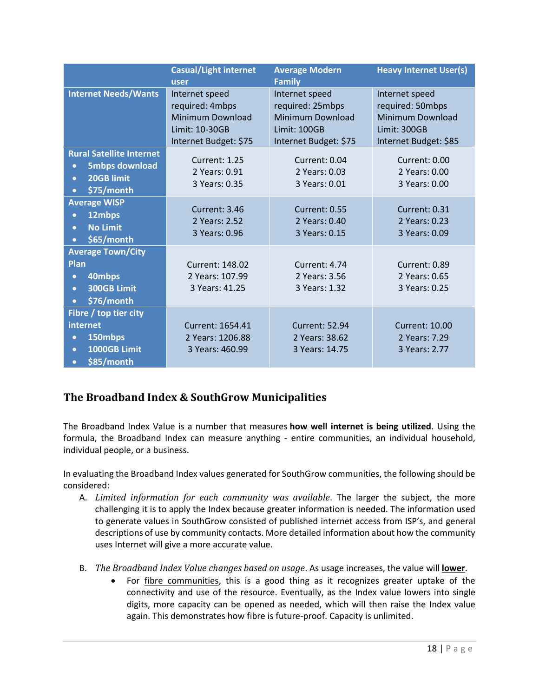|                                                                                                                             | <b>Casual/Light internet</b><br>user                                                                    | <b>Average Modern</b><br><b>Family</b>                                                                        | <b>Heavy Internet User(s)</b>                                                                          |
|-----------------------------------------------------------------------------------------------------------------------------|---------------------------------------------------------------------------------------------------------|---------------------------------------------------------------------------------------------------------------|--------------------------------------------------------------------------------------------------------|
| <b>Internet Needs/Wants</b>                                                                                                 | Internet speed<br>required: 4mbps<br><b>Minimum Download</b><br>Limit: 10-30GB<br>Internet Budget: \$75 | Internet speed<br>required: 25mbps<br><b>Minimum Download</b><br><b>Limit: 100GB</b><br>Internet Budget: \$75 | Internet speed<br>required: 50mbps<br><b>Minimum Download</b><br>Limit: 300GB<br>Internet Budget: \$85 |
| <b>Rural Satellite Internet</b><br><b>5mbps download</b><br>$\bullet$<br>20GB limit<br>$\bullet$<br>\$75/month<br>$\bullet$ | Current: 1.25<br>2 Years: 0.91<br>3 Years: 0.35                                                         | Current: 0.04<br>2 Years: 0.03<br>3 Years: 0.01                                                               | Current: 0.00<br>2 Years: 0.00<br>3 Years: 0.00                                                        |
| <b>Average WISP</b><br>12mbps<br>$\bullet$<br><b>No Limit</b><br>$\bullet$<br>\$65/month<br>$\bullet$                       | Current: 3.46<br>2 Years: 2.52<br>3 Years: 0.96                                                         | Current: 0.55<br>2 Years: 0.40<br>3 Years: 0.15                                                               | Current: 0.31<br>2 Years: 0.23<br>3 Years: 0.09                                                        |
| <b>Average Town/City</b><br>Plan<br>40mbps<br>$\bullet$<br>300GB Limit<br>$\bullet$<br>\$76/month<br>$\bullet$              | Current: 148.02<br>2 Years: 107.99<br>3 Years: 41.25                                                    | Current: 4.74<br>2 Years: 3.56<br>3 Years: 1.32                                                               | Current: 0.89<br>2 Years: 0.65<br>3 Years: 0.25                                                        |
| Fibre / top tier city<br>internet<br>150mbps<br>$\bullet$<br>1000GB Limit<br>$\bullet$<br>\$85/month<br>$\bullet$           | Current: 1654.41<br>2 Years: 1206.88<br>3 Years: 460.99                                                 | <b>Current: 52.94</b><br>2 Years: 38.62<br>3 Years: 14.75                                                     | <b>Current: 10.00</b><br>2 Years: 7.29<br>3 Years: 2.77                                                |

# **The Broadband Index & SouthGrow Municipalities**

The Broadband Index Value is a number that measures **how well internet is being utilized**. Using the formula, the Broadband Index can measure anything - entire communities, an individual household, individual people, or a business.

In evaluating the Broadband Index values generated for SouthGrow communities, the following should be considered:

- A. *Limited information for each community was available*. The larger the subject, the more challenging it is to apply the Index because greater information is needed. The information used to generate values in SouthGrow consisted of published internet access from ISP's, and general descriptions of use by community contacts. More detailed information about how the community uses Internet will give a more accurate value.
- B. *The Broadband Index Value changes based on usage*. As usage increases, the value will **lower**.
	- For fibre communities, this is a good thing as it recognizes greater uptake of the connectivity and use of the resource. Eventually, as the Index value lowers into single digits, more capacity can be opened as needed, which will then raise the Index value again. This demonstrates how fibre is future-proof. Capacity is unlimited.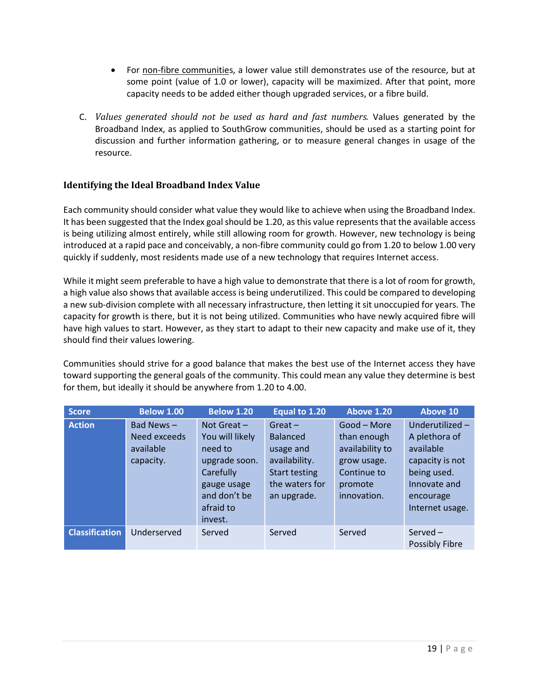- For non-fibre communities, a lower value still demonstrates use of the resource, but at some point (value of 1.0 or lower), capacity will be maximized. After that point, more capacity needs to be added either though upgraded services, or a fibre build.
- C. *Values generated should not be used as hard and fast numbers.* Values generated by the Broadband Index, as applied to SouthGrow communities, should be used as a starting point for discussion and further information gathering, or to measure general changes in usage of the resource.

#### **Identifying the Ideal Broadband Index Value**

Each community should consider what value they would like to achieve when using the Broadband Index. It has been suggested that the Index goal should be 1.20, as this value represents that the available access is being utilizing almost entirely, while still allowing room for growth. However, new technology is being introduced at a rapid pace and conceivably, a non-fibre community could go from 1.20 to below 1.00 very quickly if suddenly, most residents made use of a new technology that requires Internet access.

While it might seem preferable to have a high value to demonstrate that there is a lot of room for growth, a high value also shows that available access is being underutilized. This could be compared to developing a new sub-division complete with all necessary infrastructure, then letting it sit unoccupied for years. The capacity for growth is there, but it is not being utilized. Communities who have newly acquired fibre will have high values to start. However, as they start to adapt to their new capacity and make use of it, they should find their values lowering.

Communities should strive for a good balance that makes the best use of the Internet access they have toward supporting the general goals of the community. This could mean any value they determine is best for them, but ideally it should be anywhere from 1.20 to 4.00.

| <b>Score</b>          | <b>Below 1.00</b>                                      | <b>Below 1.20</b>                                                                                                                | Equal to 1.20                                                                                                       | <b>Above 1.20</b>                                                                                     | Above 10                                                                                                                       |
|-----------------------|--------------------------------------------------------|----------------------------------------------------------------------------------------------------------------------------------|---------------------------------------------------------------------------------------------------------------------|-------------------------------------------------------------------------------------------------------|--------------------------------------------------------------------------------------------------------------------------------|
| <b>Action</b>         | Bad News $-$<br>Need exceeds<br>available<br>capacity. | Not Great $-$<br>You will likely<br>need to<br>upgrade soon.<br>Carefully<br>gauge usage<br>and don't be<br>afraid to<br>invest. | $Great -$<br><b>Balanced</b><br>usage and<br>availability.<br><b>Start testing</b><br>the waters for<br>an upgrade. | Good – More<br>than enough<br>availability to<br>grow usage.<br>Continue to<br>promote<br>innovation. | Underutilized-<br>A plethora of<br>available<br>capacity is not<br>being used.<br>Innovate and<br>encourage<br>Internet usage. |
| <b>Classification</b> | Underserved                                            | Served                                                                                                                           | Served                                                                                                              | Served                                                                                                | Served $-$<br><b>Possibly Fibre</b>                                                                                            |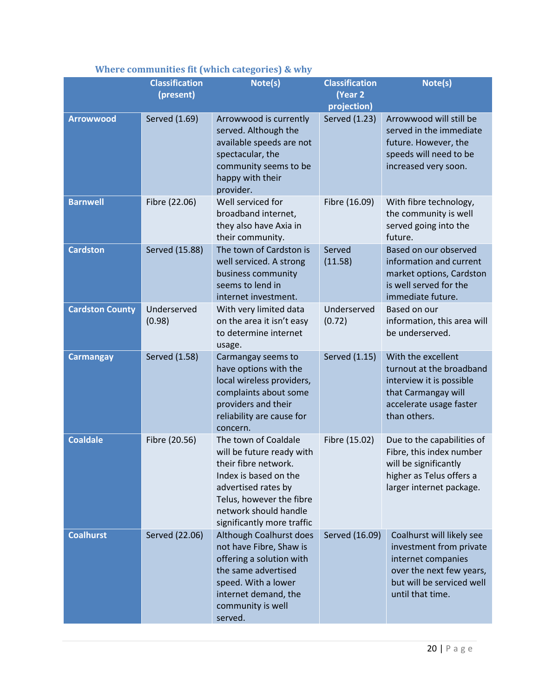|                        | <b>Classification</b><br>(present) | Note(s)                                                                                                                                                                                                      | <b>Classification</b><br>(Year 2<br>projection) | Note(s)                                                                                                                                                 |
|------------------------|------------------------------------|--------------------------------------------------------------------------------------------------------------------------------------------------------------------------------------------------------------|-------------------------------------------------|---------------------------------------------------------------------------------------------------------------------------------------------------------|
| <b>Arrowwood</b>       | Served (1.69)                      | Arrowwood is currently<br>served. Although the<br>available speeds are not<br>spectacular, the<br>community seems to be<br>happy with their<br>provider.                                                     | Served (1.23)                                   | Arrowwood will still be<br>served in the immediate<br>future. However, the<br>speeds will need to be<br>increased very soon.                            |
| <b>Barnwell</b>        | Fibre (22.06)                      | Well serviced for<br>broadband internet,<br>they also have Axia in<br>their community.                                                                                                                       | Fibre (16.09)                                   | With fibre technology,<br>the community is well<br>served going into the<br>future.                                                                     |
| <b>Cardston</b>        | Served (15.88)                     | The town of Cardston is<br>well serviced. A strong<br>business community<br>seems to lend in<br>internet investment.                                                                                         | Served<br>(11.58)                               | Based on our observed<br>information and current<br>market options, Cardston<br>is well served for the<br>immediate future.                             |
| <b>Cardston County</b> | Underserved<br>(0.98)              | With very limited data<br>on the area it isn't easy<br>to determine internet<br>usage.                                                                                                                       | Underserved<br>(0.72)                           | Based on our<br>information, this area will<br>be underserved.                                                                                          |
| <b>Carmangay</b>       | Served (1.58)                      | Carmangay seems to<br>have options with the<br>local wireless providers,<br>complaints about some<br>providers and their<br>reliability are cause for<br>concern.                                            | Served (1.15)                                   | With the excellent<br>turnout at the broadband<br>interview it is possible<br>that Carmangay will<br>accelerate usage faster<br>than others.            |
| <b>Coaldale</b>        | Fibre (20.56)                      | The town of Coaldale<br>will be future ready with<br>their fibre network.<br>Index is based on the<br>advertised rates by<br>Telus, however the fibre<br>network should handle<br>significantly more traffic | Fibre (15.02)                                   | Due to the capabilities of<br>Fibre, this index number<br>will be significantly<br>higher as Telus offers a<br>larger internet package.                 |
| <b>Coalhurst</b>       | Served (22.06)                     | Although Coalhurst does<br>not have Fibre, Shaw is<br>offering a solution with<br>the same advertised<br>speed. With a lower<br>internet demand, the<br>community is well<br>served.                         | Served (16.09)                                  | Coalhurst will likely see<br>investment from private<br>internet companies<br>over the next few years,<br>but will be serviced well<br>until that time. |

#### **Where communities fit (which categories) & why**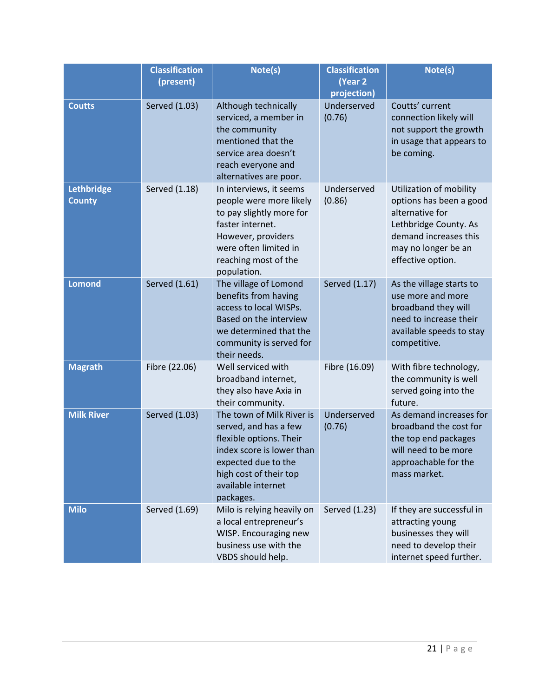|                             | <b>Classification</b><br>(present) | Note(s)                                                                                                                                                                                        | <b>Classification</b><br>(Year 2<br>projection) | Note(s)                                                                                                                                                             |
|-----------------------------|------------------------------------|------------------------------------------------------------------------------------------------------------------------------------------------------------------------------------------------|-------------------------------------------------|---------------------------------------------------------------------------------------------------------------------------------------------------------------------|
| <b>Coutts</b>               | <b>Served (1.03)</b>               | Although technically<br>serviced, a member in<br>the community<br>mentioned that the<br>service area doesn't<br>reach everyone and<br>alternatives are poor.                                   | Underserved<br>(0.76)                           | Coutts' current<br>connection likely will<br>not support the growth<br>in usage that appears to<br>be coming.                                                       |
| Lethbridge<br><b>County</b> | Served (1.18)                      | In interviews, it seems<br>people were more likely<br>to pay slightly more for<br>faster internet.<br>However, providers<br>were often limited in<br>reaching most of the<br>population.       | Underserved<br>(0.86)                           | Utilization of mobility<br>options has been a good<br>alternative for<br>Lethbridge County. As<br>demand increases this<br>may no longer be an<br>effective option. |
| <b>Lomond</b>               | Served (1.61)                      | The village of Lomond<br>benefits from having<br>access to local WISPs.<br>Based on the interview<br>we determined that the<br>community is served for<br>their needs.                         | Served (1.17)                                   | As the village starts to<br>use more and more<br>broadband they will<br>need to increase their<br>available speeds to stay<br>competitive.                          |
| <b>Magrath</b>              | Fibre (22.06)                      | Well serviced with<br>broadband internet,<br>they also have Axia in<br>their community.                                                                                                        | Fibre (16.09)                                   | With fibre technology,<br>the community is well<br>served going into the<br>future.                                                                                 |
| <b>Milk River</b>           | Served (1.03)                      | The town of Milk River is<br>served, and has a few<br>flexible options. Their<br>index score is lower than<br>expected due to the<br>high cost of their top<br>available internet<br>packages. | Underserved<br>(0.76)                           | As demand increases for<br>broadband the cost for<br>the top end packages<br>will need to be more<br>approachable for the<br>mass market.                           |
| <b>Milo</b>                 | Served (1.69)                      | Milo is relying heavily on<br>a local entrepreneur's<br>WISP. Encouraging new<br>business use with the<br>VBDS should help.                                                                    | Served (1.23)                                   | If they are successful in<br>attracting young<br>businesses they will<br>need to develop their<br>internet speed further.                                           |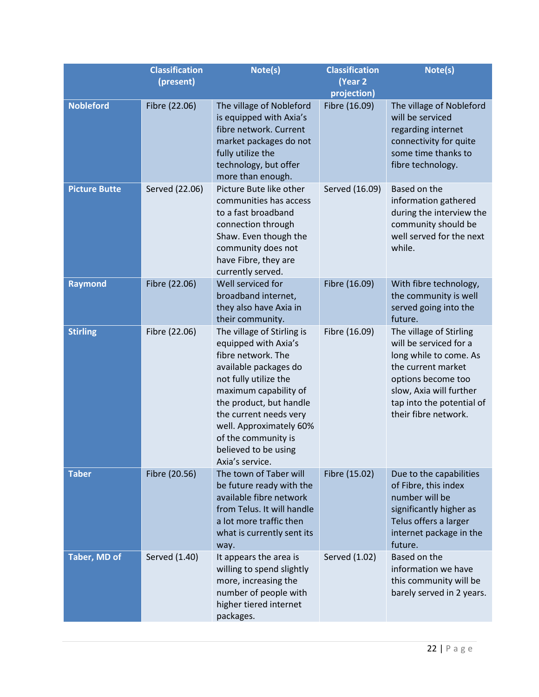|                      | <b>Classification</b> | Note(s)                                                                                                                                                                                                                                                                                               | <b>Classification</b>        | Note(s)                                                                                                                                                                                                 |
|----------------------|-----------------------|-------------------------------------------------------------------------------------------------------------------------------------------------------------------------------------------------------------------------------------------------------------------------------------------------------|------------------------------|---------------------------------------------------------------------------------------------------------------------------------------------------------------------------------------------------------|
|                      | (present)             |                                                                                                                                                                                                                                                                                                       | (Year 2                      |                                                                                                                                                                                                         |
| <b>Nobleford</b>     | Fibre (22.06)         | The village of Nobleford<br>is equipped with Axia's<br>fibre network. Current<br>market packages do not<br>fully utilize the<br>technology, but offer<br>more than enough.                                                                                                                            | projection)<br>Fibre (16.09) | The village of Nobleford<br>will be serviced<br>regarding internet<br>connectivity for quite<br>some time thanks to<br>fibre technology.                                                                |
| <b>Picture Butte</b> | Served (22.06)        | Picture Bute like other<br>communities has access<br>to a fast broadband<br>connection through<br>Shaw. Even though the<br>community does not<br>have Fibre, they are<br>currently served.                                                                                                            | Served (16.09)               | Based on the<br>information gathered<br>during the interview the<br>community should be<br>well served for the next<br>while.                                                                           |
| <b>Raymond</b>       | Fibre (22.06)         | Well serviced for<br>broadband internet,<br>they also have Axia in<br>their community.                                                                                                                                                                                                                | Fibre (16.09)                | With fibre technology,<br>the community is well<br>served going into the<br>future.                                                                                                                     |
| <b>Stirling</b>      | Fibre (22.06)         | The village of Stirling is<br>equipped with Axia's<br>fibre network. The<br>available packages do<br>not fully utilize the<br>maximum capability of<br>the product, but handle<br>the current needs very<br>well. Approximately 60%<br>of the community is<br>believed to be using<br>Axia's service. | Fibre (16.09)                | The village of Stirling<br>will be serviced for a<br>long while to come. As<br>the current market<br>options become too<br>slow, Axia will further<br>tap into the potential of<br>their fibre network. |
| <b>Taber</b>         | Fibre (20.56)         | The town of Taber will<br>be future ready with the<br>available fibre network<br>from Telus. It will handle<br>a lot more traffic then<br>what is currently sent its<br>way.                                                                                                                          | Fibre (15.02)                | Due to the capabilities<br>of Fibre, this index<br>number will be<br>significantly higher as<br>Telus offers a larger<br>internet package in the<br>future.                                             |
| Taber, MD of         | Served (1.40)         | It appears the area is<br>willing to spend slightly<br>more, increasing the<br>number of people with<br>higher tiered internet<br>packages.                                                                                                                                                           | Served (1.02)                | Based on the<br>information we have<br>this community will be<br>barely served in 2 years.                                                                                                              |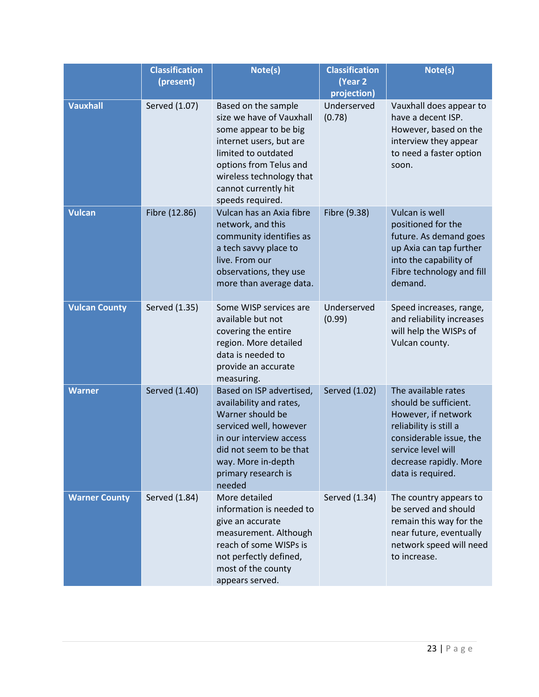|                      | <b>Classification</b><br>(present) | Note(s)                                                                                                                                                                                                                      | <b>Classification</b><br>(Year 2<br>projection) | Note(s)                                                                                                                                                                                       |
|----------------------|------------------------------------|------------------------------------------------------------------------------------------------------------------------------------------------------------------------------------------------------------------------------|-------------------------------------------------|-----------------------------------------------------------------------------------------------------------------------------------------------------------------------------------------------|
| <b>Vauxhall</b>      | Served (1.07)                      | Based on the sample<br>size we have of Vauxhall<br>some appear to be big<br>internet users, but are<br>limited to outdated<br>options from Telus and<br>wireless technology that<br>cannot currently hit<br>speeds required. | Underserved<br>(0.78)                           | Vauxhall does appear to<br>have a decent ISP.<br>However, based on the<br>interview they appear<br>to need a faster option<br>soon.                                                           |
| <b>Vulcan</b>        | Fibre (12.86)                      | Vulcan has an Axia fibre<br>network, and this<br>community identifies as<br>a tech savvy place to<br>live. From our<br>observations, they use<br>more than average data.                                                     | Fibre (9.38)                                    | Vulcan is well<br>positioned for the<br>future. As demand goes<br>up Axia can tap further<br>into the capability of<br>Fibre technology and fill<br>demand.                                   |
| <b>Vulcan County</b> | Served (1.35)                      | Some WISP services are<br>available but not<br>covering the entire<br>region. More detailed<br>data is needed to<br>provide an accurate<br>measuring.                                                                        | Underserved<br>(0.99)                           | Speed increases, range,<br>and reliability increases<br>will help the WISPs of<br>Vulcan county.                                                                                              |
| <b>Warner</b>        | Served (1.40)                      | Based on ISP advertised,<br>availability and rates,<br>Warner should be<br>serviced well, however<br>in our interview access<br>did not seem to be that<br>way. More in-depth<br>primary research is<br>needed               | Served (1.02)                                   | The available rates<br>should be sufficient.<br>However, if network<br>reliability is still a<br>considerable issue, the<br>service level will<br>decrease rapidly. More<br>data is required. |
| <b>Warner County</b> | Served (1.84)                      | More detailed<br>information is needed to<br>give an accurate<br>measurement. Although<br>reach of some WISPs is<br>not perfectly defined,<br>most of the county<br>appears served.                                          | Served (1.34)                                   | The country appears to<br>be served and should<br>remain this way for the<br>near future, eventually<br>network speed will need<br>to increase.                                               |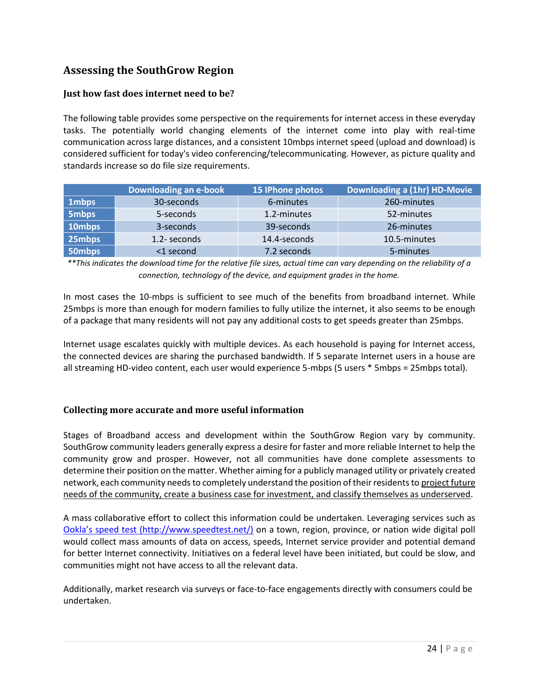# **Assessing the SouthGrow Region**

#### **Just how fast does internet need to be?**

The following table provides some perspective on the requirements for internet access in these everyday tasks. The potentially world changing elements of the internet come into play with real-time communication across large distances, and a consistent 10mbps internet speed (upload and download) is considered sufficient for today's video conferencing/telecommunicating. However, as picture quality and standards increase so do file size requirements.

|              | Downloading an e-book | 15 IPhone photos | Downloading a (1hr) HD-Movie |
|--------------|-----------------------|------------------|------------------------------|
| 1mbps        | 30-seconds            | 6-minutes        | 260-minutes                  |
| <b>5mbps</b> | 5-seconds             | 1.2-minutes      | 52-minutes                   |
| 10mbps       | 3-seconds             | 39-seconds       | 26-minutes                   |
| 25mbps       | 1.2- seconds          | 14.4-seconds     | 10.5-minutes                 |
| 50mbps       | <1 second             | 7.2 seconds      | 5-minutes                    |

*\*\*This indicates the download time for the relative file sizes, actual time can vary depending on the reliability of a connection, technology of the device, and equipment grades in the home.*

In most cases the 10-mbps is sufficient to see much of the benefits from broadband internet. While 25mbps is more than enough for modern families to fully utilize the internet, it also seems to be enough of a package that many residents will not pay any additional costs to get speeds greater than 25mbps.

Internet usage escalates quickly with multiple devices. As each household is paying for Internet access, the connected devices are sharing the purchased bandwidth. If 5 separate Internet users in a house are all streaming HD-video content, each user would experience 5-mbps (5 users \* 5mbps = 25mbps total).

#### **Collecting more accurate and more useful information**

Stages of Broadband access and development within the SouthGrow Region vary by community. SouthGrow community leaders generally express a desire for faster and more reliable Internet to help the community grow and prosper. However, not all communities have done complete assessments to determine their position on the matter. Whether aiming for a publicly managed utility or privately created network, each community needs to completely understand the position of their residents to project future needs of the community, create a business case for investment, and classify themselves as underserved.

A mass collaborative effort to collect this information could be undertaken. Leveraging services such as [Ookla's speed test \(http://www.speedtest.net/\)](http://www.speedtest.net/) on a town, region, province, or nation wide digital poll would collect mass amounts of data on access, speeds, Internet service provider and potential demand for better Internet connectivity. Initiatives on a federal level have been initiated, but could be slow, and communities might not have access to all the relevant data.

Additionally, market research via surveys or face-to-face engagements directly with consumers could be undertaken.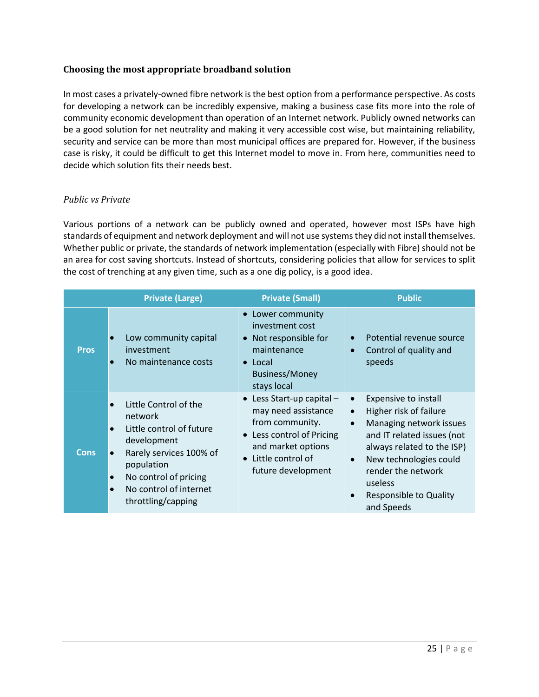#### **Choosing the most appropriate broadband solution**

In most cases a privately-owned fibre network is the best option from a performance perspective. As costs for developing a network can be incredibly expensive, making a business case fits more into the role of community economic development than operation of an Internet network. Publicly owned networks can be a good solution for net neutrality and making it very accessible cost wise, but maintaining reliability, security and service can be more than most municipal offices are prepared for. However, if the business case is risky, it could be difficult to get this Internet model to move in. From here, communities need to decide which solution fits their needs best.

#### *Public vs Private*

Various portions of a network can be publicly owned and operated, however most ISPs have high standards of equipment and network deployment and will not use systems they did not install themselves. Whether public or private, the standards of network implementation (especially with Fibre) should not be an area for cost saving shortcuts. Instead of shortcuts, considering policies that allow for services to split the cost of trenching at any given time, such as a one dig policy, is a good idea.

|             | <b>Private (Large)</b>                                                                                                                                                                                                               | <b>Private (Small)</b>                                                                                                                                                      | <b>Public</b>                                                                                                                                                                                                                                                                                       |
|-------------|--------------------------------------------------------------------------------------------------------------------------------------------------------------------------------------------------------------------------------------|-----------------------------------------------------------------------------------------------------------------------------------------------------------------------------|-----------------------------------------------------------------------------------------------------------------------------------------------------------------------------------------------------------------------------------------------------------------------------------------------------|
| <b>Pros</b> | Low community capital<br>investment<br>No maintenance costs<br>$\bullet$                                                                                                                                                             | • Lower community<br>investment cost<br>• Not responsible for<br>maintenance<br>$\bullet$ Local<br><b>Business/Money</b><br>stays local                                     | Potential revenue source<br>Control of quality and<br>speeds                                                                                                                                                                                                                                        |
| <b>Cons</b> | Little Control of the<br>network<br>Little control of future<br>$\bullet$<br>development<br>Rarely services 100% of<br>$\bullet$<br>population<br>No control of pricing<br>$\bullet$<br>No control of internet<br>throttling/capping | $\bullet$ Less Start-up capital -<br>may need assistance<br>from community.<br>• Less control of Pricing<br>and market options<br>• Little control of<br>future development | <b>Expensive to install</b><br>$\bullet$<br>Higher risk of failure<br>$\bullet$<br>Managing network issues<br>$\bullet$<br>and IT related issues (not<br>always related to the ISP)<br>New technologies could<br>$\bullet$<br>render the network<br>useless<br>Responsible to Quality<br>and Speeds |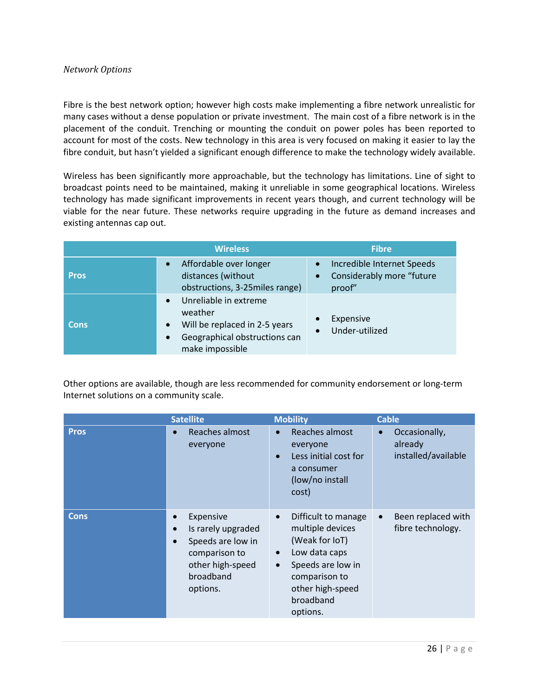#### *Network Options*

Fibre is the best network option; however high costs make implementing a fibre network unrealistic for many cases without a dense population or private investment. The main cost of a fibre network is in the placement of the conduit. Trenching or mounting the conduit on power poles has been reported to account for most of the costs. New technology in this area is very focused on making it easier to lay the fibre conduit, but hasn't yielded a significant enough difference to make the technology widely available.

Wireless has been significantly more approachable, but the technology has limitations. Line of sight to broadcast points need to be maintained, making it unreliable in some geographical locations. Wireless technology has made significant improvements in recent years though, and current technology will be viable for the near future. These networks require upgrading in the future as demand increases and existing antennas cap out.

|             | <b>Wireless</b>                                                                                                       | <b>Fibre</b>                                                                                |
|-------------|-----------------------------------------------------------------------------------------------------------------------|---------------------------------------------------------------------------------------------|
| <b>Pros</b> | Affordable over longer<br>distances (without<br>obstructions, 3-25miles range)                                        | Incredible Internet Speeds<br>$\bullet$<br>Considerably more "future<br>$\bullet$<br>proof" |
| <b>Cons</b> | Unreliable in extreme<br>weather<br>Will be replaced in 2-5 years<br>Geographical obstructions can<br>make impossible | Expensive<br>$\bullet$<br>Under-utilized<br>$\bullet$                                       |

Other options are available, though are less recommended for community endorsement or long-term Internet solutions on a community scale.

|             | <b>Satellite</b>                                                                                                                             | <b>Mobility</b>                                                                                                                                                                                      | <b>Cable</b>                                                 |
|-------------|----------------------------------------------------------------------------------------------------------------------------------------------|------------------------------------------------------------------------------------------------------------------------------------------------------------------------------------------------------|--------------------------------------------------------------|
| <b>Pros</b> | Reaches almost<br>$\bullet$<br>everyone                                                                                                      | Reaches almost<br>$\bullet$<br>everyone<br>Less initial cost for<br>a consumer<br>(low/no install<br>cost)                                                                                           | Occasionally,<br>$\bullet$<br>already<br>installed/available |
| <b>Cons</b> | Expensive<br>Is rarely upgraded<br>$\bullet$<br>Speeds are low in<br>$\bullet$<br>comparison to<br>other high-speed<br>broadband<br>options. | Difficult to manage<br>$\bullet$<br>multiple devices<br>(Weak for IoT)<br>Low data caps<br>$\bullet$<br>Speeds are low in<br>$\bullet$<br>comparison to<br>other high-speed<br>broadband<br>options. | Been replaced with<br>$\bullet$<br>fibre technology.         |